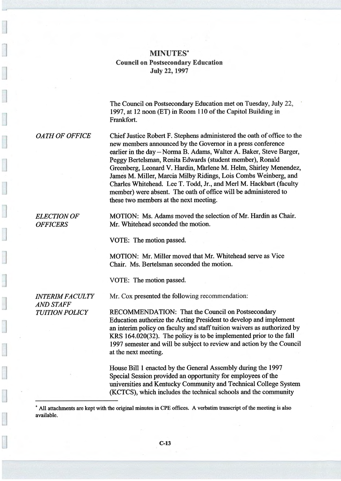## MINUTES Council on Postsecondary Education July 22, 1997

The Council on Postsecondary Education met on Tuesday, July 22, 1997, at 12 noon (ET) in Room 110 of the Capitol Building in Frankfort.

OATH OF OFFICE Chief Justice Robert F. Stephens administered the oath of office to the new members announced by the Governor in a press conference earlier in the day —Norma B. Adams, Walter A. Baker, Steve Barger, Peggy Bertelsman, Renita Edwards (student member), Ronald Greenberg, Leonard V. Hardin, Marlene M. Helm, Shirley Menendez, James M. Miller, Marcia Milby Ridings, Lois Combs Weinberg, and Charles Whitehead. Lee T. Todd, Jr., and Merl M. Hackbart (faculty member) were absent. The oath of office will be administered to these two members at the next meeting.

ELECTION OF MOTION: Ms. Adams moved the selection of Mr. Hardin as Chair. OFFICERS Mr. Whitehead seconded the motion.

VOTE: The motion passed.

MOTION: Mr. Miller moved that Mr. Whitehead serve as Vice Chair. Ms. Bertelsman seconded the motion.

VOTE: The motion passed.

AND STAFF

INTERIM FACULTY Mr. Cox presented the following recommendation:

TUITION POLICY RECOMMENDATION: That the Council on Postsecondary Education authorize the Acting President to develop and implement an interim policy on faculty and staff tuition waivers as authorized by KRS 164.020(32). The policy is to be implemented prior to the fall 1997 semester and will be subject to review and action by the Council at the next meeting.

> House Bill 1 enacted by the General Assembly during the 1997 Special Session provided an opportunity for employees of the universities and Kentucky Community and Technical College System (KCTCS), which includes the technical schools and the community

` All attachments are kept with the original minutes in CPE offices. A verbatim transcript of the meeting is also available.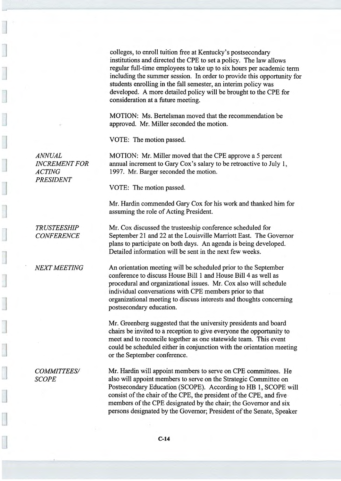colleges, to enroll tuition free at Kentucky's postsecondary institutions and directed the CPE to set a policy. The law allows regular full-time employees to take up to six hours per academic term including the summer session. In order to provide this opportunity for students enrolling in the fall semester, an interim policy was developed. Amore detailed policy will be brought to the CPE for consideration at a future meeting.

MOTION: Ms. Bertelsman moved that the recommendation be approved. Mr. Miller seconded the motion.

VOTE: The motion passed.

ANNUAL MOTION: Mr. Miller moved that the CPE approve a 5 percent INCREMENT FOR annual increment to Gary Cox's salary to be retroactive to July 1, ACTING 1997. Mr. Barger seconded the motion.

VOTE: The motion passed.

Mr. Hardin commended Gary Cox for his work and thanked him for assuming the role of Acting President.

TRUSTEESHIP Mr. Cox discussed the trusteeship conference scheduled for CONFERENCE September 21 and 22 at the Louisville Marriott East. The Governor plans to participate on both days. An agenda is being developed. Detailed information will be sent in the next few weeks.

NEXT MEETING An orientation meeting will be scheduled prior to the September conference to discuss House Bill 1 and House Bill 4 as well as procedural and organizational issues. Mr. Cox also will schedule individual conversations with CPE members prior to that organizational meeting to discuss interests and thoughts concerning postsecondary education.

> Mr. Greenberg suggested that the university presidents and board chairs be invited to a reception to give everyone the opportunity to meet and to reconcile together as one statewide team. This event could be scheduled either in conjunction with the orientation meeting or the September conference.

COMMITTEES/ Mr. Hardin will appoint members to serve on CPE committees. He SCOPE also will appoint members to serve on the Strategic Committee on Postsecondary Education (SCOPE). According to HB 1, SCOPE will consist of the chair of the CPE, the president of the CPE, and five members of the CPE designated by the chair; the Governor and six persons designated by the Governor; President of the Senate, Speaker

PRESIDENT